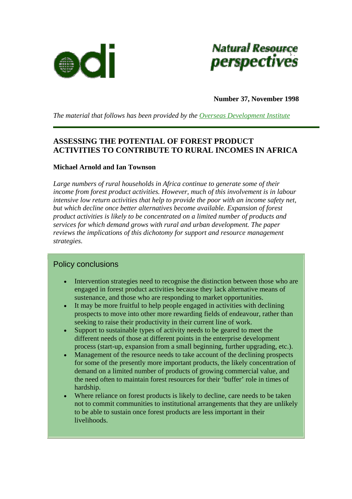



**Number 37, November 1998** 

*The material that follows has been provided by the [Overseas Development Institute](http://www.odi.org.uk/index.html)* 

# **ASSESSING THE POTENTIAL OF FOREST PRODUCT ACTIVITIES TO CONTRIBUTE TO RURAL INCOMES IN AFRICA**

### **Michael Arnold and Ian Townson**

*Large numbers of rural households in Africa continue to generate some of their income from forest product activities. However, much of this involvement is in labour intensive low return activities that help to provide the poor with an income safety net, but which decline once better alternatives become available. Expansion of forest product activities is likely to be concentrated on a limited number of products and services for which demand grows with rural and urban development. The paper reviews the implications of this dichotomy for support and resource management strategies.* 

### Policy conclusions

- Intervention strategies need to recognise the distinction between those who are engaged in forest product activities because they lack alternative means of sustenance, and those who are responding to market opportunities.
- It may be more fruitful to help people engaged in activities with declining prospects to move into other more rewarding fields of endeavour, rather than seeking to raise their productivity in their current line of work.
- Support to sustainable types of activity needs to be geared to meet the different needs of those at different points in the enterprise development process (start-up, expansion from a small beginning, further upgrading, etc.).
- Management of the resource needs to take account of the declining prospects for some of the presently more important products, the likely concentration of demand on a limited number of products of growing commercial value, and the need often to maintain forest resources for their 'buffer' role in times of hardship.
- Where reliance on forest products is likely to decline, care needs to be taken not to commit communities to institutional arrangements that they are unlikely to be able to sustain once forest products are less important in their livelihoods.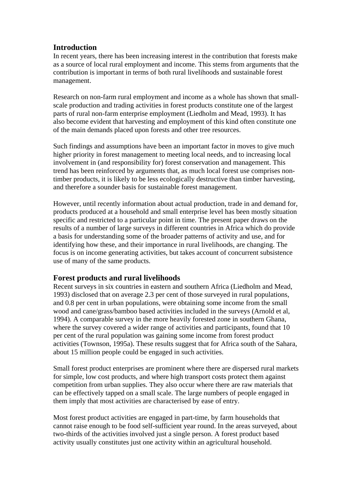## **Introduction**

In recent years, there has been increasing interest in the contribution that forests make as a source of local rural employment and income. This stems from arguments that the contribution is important in terms of both rural livelihoods and sustainable forest management.

Research on non-farm rural employment and income as a whole has shown that smallscale production and trading activities in forest products constitute one of the largest parts of rural non-farm enterprise employment (Liedholm and Mead, 1993). It has also become evident that harvesting and employment of this kind often constitute one of the main demands placed upon forests and other tree resources.

Such findings and assumptions have been an important factor in moves to give much higher priority in forest management to meeting local needs, and to increasing local involvement in (and responsibility for) forest conservation and management. This trend has been reinforced by arguments that, as much local forest use comprises nontimber products, it is likely to be less ecologically destructive than timber harvesting, and therefore a sounder basis for sustainable forest management.

However, until recently information about actual production, trade in and demand for, products produced at a household and small enterprise level has been mostly situation specific and restricted to a particular point in time. The present paper draws on the results of a number of large surveys in different countries in Africa which do provide a basis for understanding some of the broader patterns of activity and use, and for identifying how these, and their importance in rural livelihoods, are changing. The focus is on income generating activities, but takes account of concurrent subsistence use of many of the same products.

## **Forest products and rural livelihoods**

Recent surveys in six countries in eastern and southern Africa (Liedholm and Mead, 1993) disclosed that on average 2.3 per cent of those surveyed in rural populations, and 0.8 per cent in urban populations, were obtaining some income from the small wood and cane/grass/bamboo based activities included in the surveys (Arnold et al, 1994). A comparable survey in the more heavily forested zone in southern Ghana, where the survey covered a wider range of activities and participants, found that 10 per cent of the rural population was gaining some income from forest product activities (Townson, 1995a). These results suggest that for Africa south of the Sahara, about 15 million people could be engaged in such activities.

Small forest product enterprises are prominent where there are dispersed rural markets for simple, low cost products, and where high transport costs protect them against competition from urban supplies. They also occur where there are raw materials that can be effectively tapped on a small scale. The large numbers of people engaged in them imply that most activities are characterised by ease of entry.

Most forest product activities are engaged in part-time, by farm households that cannot raise enough to be food self-sufficient year round. In the areas surveyed, about two-thirds of the activities involved just a single person. A forest product based activity usually constitutes just one activity within an agricultural household.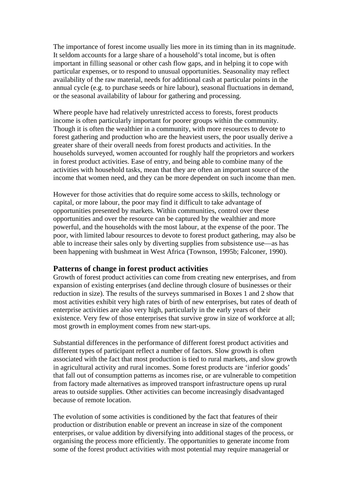The importance of forest income usually lies more in its timing than in its magnitude. It seldom accounts for a large share of a household's total income, but is often important in filling seasonal or other cash flow gaps, and in helping it to cope with particular expenses, or to respond to unusual opportunities. Seasonality may reflect availability of the raw material, needs for additional cash at particular points in the annual cycle (e.g. to purchase seeds or hire labour), seasonal fluctuations in demand, or the seasonal availability of labour for gathering and processing.

Where people have had relatively unrestricted access to forests, forest products income is often particularly important for poorer groups within the community. Though it is often the wealthier in a community, with more resources to devote to forest gathering and production who are the heaviest users, the poor usually derive a greater share of their overall needs from forest products and activities. In the households surveyed, women accounted for roughly half the proprietors and workers in forest product activities. Ease of entry, and being able to combine many of the activities with household tasks, mean that they are often an important source of the income that women need, and they can be more dependent on such income than men.

However for those activities that do require some access to skills, technology or capital, or more labour, the poor may find it difficult to take advantage of opportunities presented by markets. Within communities, control over these opportunities and over the resource can be captured by the wealthier and more powerful, and the households with the most labour, at the expense of the poor. The poor, with limited labour resources to devote to forest product gathering, may also be able to increase their sales only by diverting supplies from subsistence use—as has been happening with bushmeat in West Africa (Townson, 1995b; Falconer, 1990).

### **Patterns of change in forest product activities**

Growth of forest product activities can come from creating new enterprises, and from expansion of existing enterprises (and decline through closure of businesses or their reduction in size). The results of the surveys summarised in Boxes 1 and 2 show that most activities exhibit very high rates of birth of new enterprises, but rates of death of enterprise activities are also very high, particularly in the early years of their existence. Very few of those enterprises that survive grow in size of workforce at all; most growth in employment comes from new start-ups.

Substantial differences in the performance of different forest product activities and different types of participant reflect a number of factors. Slow growth is often associated with the fact that most production is tied to rural markets, and slow growth in agricultural activity and rural incomes. Some forest products are 'inferior goods' that fall out of consumption patterns as incomes rise, or are vulnerable to competition from factory made alternatives as improved transport infrastructure opens up rural areas to outside supplies. Other activities can become increasingly disadvantaged because of remote location.

The evolution of some activities is conditioned by the fact that features of their production or distribution enable or prevent an increase in size of the component enterprises, or value addition by diversifying into additional stages of the process, or organising the process more efficiently. The opportunities to generate income from some of the forest product activities with most potential may require managerial or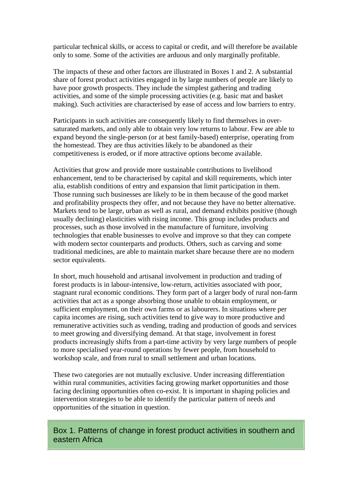particular technical skills, or access to capital or credit, and will therefore be available only to some. Some of the activities are arduous and only marginally profitable.

The impacts of these and other factors are illustrated in Boxes 1 and 2. A substantial share of forest product activities engaged in by large numbers of people are likely to have poor growth prospects. They include the simplest gathering and trading activities, and some of the simple processing activities (e.g. basic mat and basket making). Such activities are characterised by ease of access and low barriers to entry.

Participants in such activities are consequently likely to find themselves in oversaturated markets, and only able to obtain very low returns to labour. Few are able to expand beyond the single-person (or at best family-based) enterprise, operating from the homestead. They are thus activities likely to be abandoned as their competitiveness is eroded, or if more attractive options become available.

Activities that grow and provide more sustainable contributions to livelihood enhancement, tend to be characterised by capital and skill requirements, which inter alia, establish conditions of entry and expansion that limit participation in them. Those running such businesses are likely to be in them because of the good market and profitability prospects they offer, and not because they have no better alternative. Markets tend to be large, urban as well as rural, and demand exhibits positive (though usually declining) elasticities with rising income. This group includes products and processes, such as those involved in the manufacture of furniture, involving technologies that enable businesses to evolve and improve so that they can compete with modern sector counterparts and products. Others, such as carving and some traditional medicines, are able to maintain market share because there are no modern sector equivalents.

In short, much household and artisanal involvement in production and trading of forest products is in labour-intensive, low-return, activities associated with poor, stagnant rural economic conditions. They form part of a larger body of rural non-farm activities that act as a sponge absorbing those unable to obtain employment, or sufficient employment, on their own farms or as labourers. In situations where per capita incomes are rising, such activities tend to give way to more productive and remunerative activities such as vending, trading and production of goods and services to meet growing and diversifying demand. At that stage, involvement in forest products increasingly shifts from a part-time activity by very large numbers of people to more specialised year-round operations by fewer people, from household to workshop scale, and from rural to small settlement and urban locations.

These two categories are not mutually exclusive. Under increasing differentiation within rural communities, activities facing growing market opportunities and those facing declining opportunities often co-exist. It is important in shaping policies and intervention strategies to be able to identify the particular pattern of needs and opportunities of the situation in question.

Box 1. Patterns of change in forest product activities in southern and eastern Africa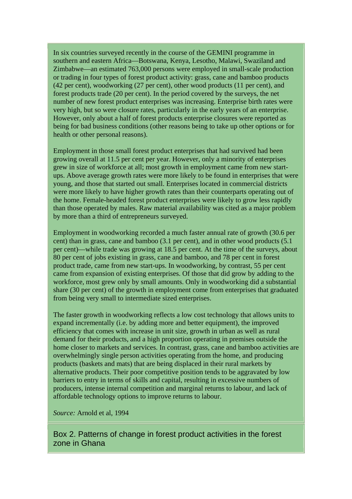In six countries surveyed recently in the course of the GEMINI programme in southern and eastern Africa—Botswana, Kenya, Lesotho, Malawi, Swaziland and Zimbabwe—an estimated 763,000 persons were employed in small-scale production or trading in four types of forest product activity: grass, cane and bamboo products (42 per cent), woodworking (27 per cent), other wood products (11 per cent), and forest products trade (20 per cent). In the period covered by the surveys, the net number of new forest product enterprises was increasing. Enterprise birth rates were very high, but so were closure rates, particularly in the early years of an enterprise. However, only about a half of forest products enterprise closures were reported as being for bad business conditions (other reasons being to take up other options or for health or other personal reasons).

Employment in those small forest product enterprises that had survived had been growing overall at 11.5 per cent per year. However, only a minority of enterprises grew in size of workforce at all; most growth in employment came from new startups. Above average growth rates were more likely to be found in enterprises that were young, and those that started out small. Enterprises located in commercial districts were more likely to have higher growth rates than their counterparts operating out of the home. Female-headed forest product enterprises were likely to grow less rapidly than those operated by males. Raw material availability was cited as a major problem by more than a third of entrepreneurs surveyed.

Employment in woodworking recorded a much faster annual rate of growth (30.6 per cent) than in grass, cane and bamboo (3.1 per cent), and in other wood products (5.1 per cent)—while trade was growing at 18.5 per cent. At the time of the surveys, about 80 per cent of jobs existing in grass, cane and bamboo, and 78 per cent in forest product trade, came from new start-ups. In woodworking, by contrast, 55 per cent came from expansion of existing enterprises. Of those that did grow by adding to the workforce, most grew only by small amounts. Only in woodworking did a substantial share (30 per cent) of the growth in employment come from enterprises that graduated from being very small to intermediate sized enterprises.

The faster growth in woodworking reflects a low cost technology that allows units to expand incrementally (i.e. by adding more and better equipment), the improved efficiency that comes with increase in unit size, growth in urban as well as rural demand for their products, and a high proportion operating in premises outside the home closer to markets and services. In contrast, grass, cane and bamboo activities are overwhelmingly single person activities operating from the home, and producing products (baskets and mats) that are being displaced in their rural markets by alternative products. Their poor competitive position tends to be aggravated by low barriers to entry in terms of skills and capital, resulting in excessive numbers of producers, intense internal competition and marginal returns to labour, and lack of affordable technology options to improve returns to labour.

*Source:* Arnold et al, 1994

Box 2. Patterns of change in forest product activities in the forest zone in Ghana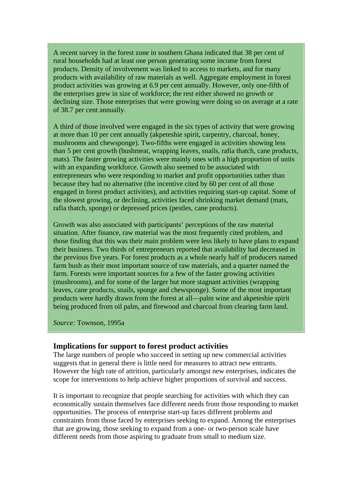A recent survey in the forest zone in southern Ghana indicated that 38 per cent of rural households had at least one person generating some income from forest products. Density of involvement was linked to access to markets, and for many products with availability of raw materials as well. Aggregate employment in forest product activities was growing at 6.9 per cent annually. However, only one-fifth of the enterprises grew in size of workforce; the rest either showed no growth or declining size. Those enterprises that were growing were doing so on average at a rate of 38.7 per cent annually.

A third of those involved were engaged in the six types of activity that were growing at more than 10 per cent annually (akpeteshie spirit, carpentry, charcoal, honey, mushrooms and chewsponge). Two-fifths were engaged in activities showing less than 5 per cent growth (bushmeat, wrapping leaves, snails, rafia thatch, cane products, mats). The faster growing activities were mainly ones with a high proportion of units with an expanding workforce. Growth also seemed to be associated with entrepreneurs who were responding to market and profit opportunities rather than because they had no alternative (the incentive cited by 60 per cent of all those engaged in forest product activities), and activities requiring start-up capital. Some of the slowest growing, or declining, activities faced shrinking market demand (mats, rafia thatch, sponge) or depressed prices (pestles, cane products).

Growth was also associated with participants' perceptions of the raw material situation. After finance, raw material was the most frequently cited problem, and those finding that this was their main problem were less likely to have plans to expand their business. Two thirds of entrepreneurs reported that availability had decreased in the previous five years. For forest products as a whole nearly half of producers named farm bush as their most important source of raw materials, and a quarter named the farm. Forests were important sources for a few of the faster growing activities (mushrooms), and for some of the larger but more stagnant activities (wrapping leaves, cane products, snails, sponge and chewsponge). Some of the most important products were hardly drawn from the forest at all—palm wine and akpeteshie spirit being produced from oil palm, and firewood and charcoal from clearing farm land.

*Source:* Townson, 1995a

### **Implications for support to forest product activities**

The large numbers of people who succeed in setting up new commercial activities suggests that in general there is little need for measures to attract new entrants. However the high rate of attrition, particularly amongst new enterprises, indicates the scope for interventions to help achieve higher proportions of survival and success.

It is important to recognize that people searching for activities with which they can economically sustain themselves face different needs from those responding to market opportunities. The process of enterprise start-up faces different problems and constraints from those faced by enterprises seeking to expand. Among the enterprises that are growing, those seeking to expand from a one- or two-person scale have different needs from those aspiring to graduate from small to medium size.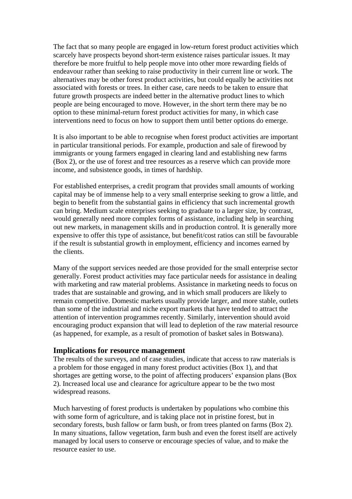The fact that so many people are engaged in low-return forest product activities which scarcely have prospects beyond short-term existence raises particular issues. It may therefore be more fruitful to help people move into other more rewarding fields of endeavour rather than seeking to raise productivity in their current line or work. The alternatives may be other forest product activities, but could equally be activities not associated with forests or trees. In either case, care needs to be taken to ensure that future growth prospects are indeed better in the alternative product lines to which people are being encouraged to move. However, in the short term there may be no option to these minimal-return forest product activities for many, in which case interventions need to focus on how to support them until better options do emerge.

It is also important to be able to recognise when forest product activities are important in particular transitional periods. For example, production and sale of firewood by immigrants or young farmers engaged in clearing land and establishing new farms (Box 2), or the use of forest and tree resources as a reserve which can provide more income, and subsistence goods, in times of hardship.

For established enterprises, a credit program that provides small amounts of working capital may be of immense help to a very small enterprise seeking to grow a little, and begin to benefit from the substantial gains in efficiency that such incremental growth can bring. Medium scale enterprises seeking to graduate to a larger size, by contrast, would generally need more complex forms of assistance, including help in searching out new markets, in management skills and in production control. It is generally more expensive to offer this type of assistance, but benefit/cost ratios can still be favourable if the result is substantial growth in employment, efficiency and incomes earned by the clients.

Many of the support services needed are those provided for the small enterprise sector generally. Forest product activities may face particular needs for assistance in dealing with marketing and raw material problems. Assistance in marketing needs to focus on trades that are sustainable and growing, and in which small producers are likely to remain competitive. Domestic markets usually provide larger, and more stable, outlets than some of the industrial and niche export markets that have tended to attract the attention of intervention programmes recently. Similarly, intervention should avoid encouraging product expansion that will lead to depletion of the raw material resource (as happened, for example, as a result of promotion of basket sales in Botswana).

#### **Implications for resource management**

The results of the surveys, and of case studies, indicate that access to raw materials is a problem for those engaged in many forest product activities (Box 1), and that shortages are getting worse, to the point of affecting producers' expansion plans (Box 2). Increased local use and clearance for agriculture appear to be the two most widespread reasons.

Much harvesting of forest products is undertaken by populations who combine this with some form of agriculture, and is taking place not in pristine forest, but in secondary forests, bush fallow or farm bush, or from trees planted on farms (Box 2). In many situations, fallow vegetation, farm bush and even the forest itself are actively managed by local users to conserve or encourage species of value, and to make the resource easier to use.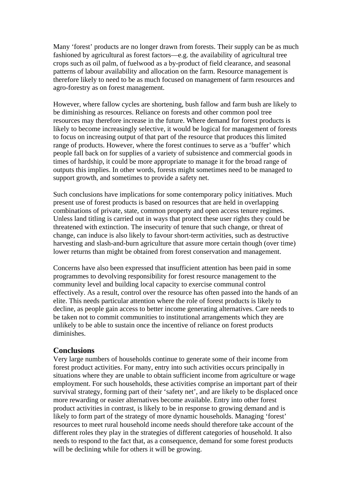Many 'forest' products are no longer drawn from forests. Their supply can be as much fashioned by agricultural as forest factors—e.g. the availability of agricultural tree crops such as oil palm, of fuelwood as a by-product of field clearance, and seasonal patterns of labour availability and allocation on the farm. Resource management is therefore likely to need to be as much focused on management of farm resources and agro-forestry as on forest management.

However, where fallow cycles are shortening, bush fallow and farm bush are likely to be diminishing as resources. Reliance on forests and other common pool tree resources may therefore increase in the future. Where demand for forest products is likely to become increasingly selective, it would be logical for management of forests to focus on increasing output of that part of the resource that produces this limited range of products. However, where the forest continues to serve as a 'buffer' which people fall back on for supplies of a variety of subsistence and commercial goods in times of hardship, it could be more appropriate to manage it for the broad range of outputs this implies. In other words, forests might sometimes need to be managed to support growth, and sometimes to provide a safety net.

Such conclusions have implications for some contemporary policy initiatives. Much present use of forest products is based on resources that are held in overlapping combinations of private, state, common property and open access tenure regimes. Unless land titling is carried out in ways that protect these user rights they could be threatened with extinction. The insecurity of tenure that such change, or threat of change, can induce is also likely to favour short-term activities, such as destructive harvesting and slash-and-burn agriculture that assure more certain though (over time) lower returns than might be obtained from forest conservation and management.

Concerns have also been expressed that insufficient attention has been paid in some programmes to devolving responsibility for forest resource management to the community level and building local capacity to exercise communal control effectively. As a result, control over the resource has often passed into the hands of an elite. This needs particular attention where the role of forest products is likely to decline, as people gain access to better income generating alternatives. Care needs to be taken not to commit communities to institutional arrangements which they are unlikely to be able to sustain once the incentive of reliance on forest products diminishes.

### **Conclusions**

Very large numbers of households continue to generate some of their income from forest product activities. For many, entry into such activities occurs principally in situations where they are unable to obtain sufficient income from agriculture or wage employment. For such households, these activities comprise an important part of their survival strategy, forming part of their 'safety net', and are likely to be displaced once more rewarding or easier alternatives become available. Entry into other forest product activities in contrast, is likely to be in response to growing demand and is likely to form part of the strategy of more dynamic households. Managing 'forest' resources to meet rural household income needs should therefore take account of the different roles they play in the strategies of different categories of household. It also needs to respond to the fact that, as a consequence, demand for some forest products will be declining while for others it will be growing.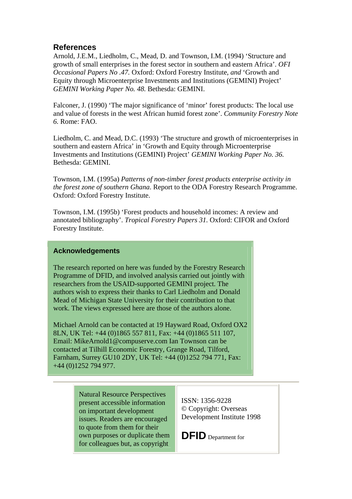## **References**

Arnold, J.E.M., Liedholm, C., Mead, D. and Townson, I.M. (1994) 'Structure and growth of small enterprises in the forest sector in southern and eastern Africa'. *OFI Occasional Papers No .47.* Oxford: Oxford Forestry Institute, *and* 'Growth and Equity through Microenterprise Investments and Institutions (GEMINI) Project' *GEMINI Working Paper No. 48.* Bethesda: GEMINI.

Falconer, J. (1990) 'The major significance of 'minor' forest products: The local use and value of forests in the west African humid forest zone'. *Community Forestry Note 6.* Rome: FAO.

Liedholm, C. and Mead, D.C. (1993) 'The structure and growth of microenterprises in southern and eastern Africa' in 'Growth and Equity through Microenterprise Investments and Institutions (GEMINI) Project' *GEMINI Working Paper No. 36.* Bethesda: GEMINI.

Townson, I.M. (1995a) *Patterns of non-timber forest products enterprise activity in the forest zone of southern Ghana*. Report to the ODA Forestry Research Programme. Oxford: Oxford Forestry Institute.

Townson, I.M. (1995b) 'Forest products and household incomes: A review and annotated bibliography'. *Tropical Forestry Papers 31.* Oxford: CIFOR and Oxford Forestry Institute.

### **Acknowledgements**

The research reported on here was funded by the Forestry Research Programme of DFID, and involved analysis carried out jointly with researchers from the USAID-supported GEMINI project. The authors wish to express their thanks to Carl Liedholm and Donald Mead of Michigan State University for their contribution to that work. The views expressed here are those of the authors alone.

Michael Arnold can be contacted at 19 Hayward Road, Oxford OX2 8LN, UK Tel: +44 (0)1865 557 811, Fax: +44 (0)1865 511 107, Email: MikeArnold1@compuserve.com Ian Townson can be contacted at Tilhill Economic Forestry, Grange Road, Tilford, Farnham, Surrey GU10 2DY, UK Tel: +44 (0)1252 794 771, Fax: +44 (0)1252 794 977.

> Natural Resource Perspectives present accessible information on important development issues. Readers are encouraged to quote from them for their own purposes or duplicate them for colleagues but, as copyright

ISSN: 1356-9228 © Copyright: Overseas Development Institute 1998

**DFID** Department for